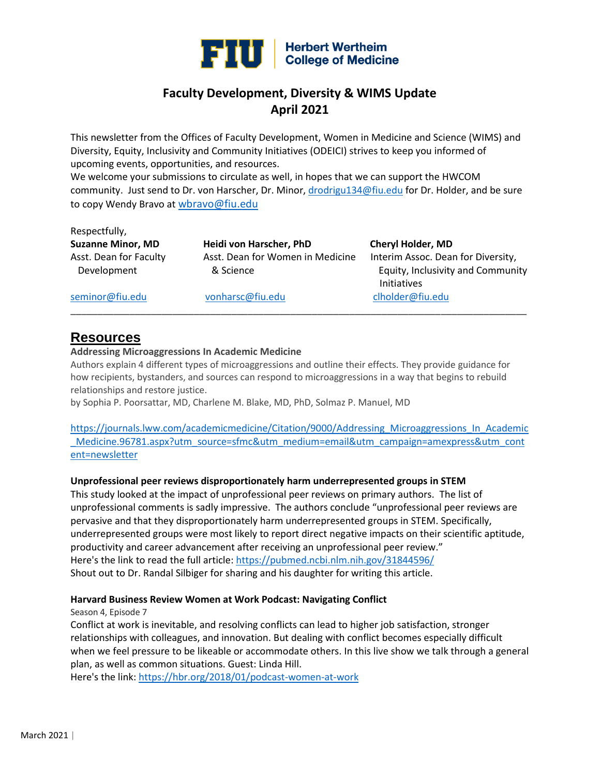

# **Faculty Development, Diversity & WIMS Update April 2021**

This newsletter from the Offices of Faculty Development, Women in Medicine and Science (WIMS) and Diversity, Equity, Inclusivity and Community Initiatives (ODEICI) strives to keep you informed of upcoming events, opportunities, and resources.

We welcome your submissions to circulate as well, in hopes that we can support the HWCOM community. Just send to Dr. von Harscher, Dr. Minor[, drodrigu134@fiu.edu](mailto:drodrigu134@fiu.edu) for Dr. Holder, and be sure to copy Wendy Bravo at [wbravo@fiu.edu](mailto:wbravo@fiu.edu)

| Respectfully,<br><b>Suzanne Minor, MD</b> | Heidi von Harscher, PhD                       | <b>Cheryl Holder, MD</b>                                                |
|-------------------------------------------|-----------------------------------------------|-------------------------------------------------------------------------|
| Asst. Dean for Faculty<br>Development     | Asst. Dean for Women in Medicine<br>& Science | Interim Assoc. Dean for Diversity,<br>Equity, Inclusivity and Community |
| seminor@fiu.edu                           | vonharsc@fiu.edu                              | <b>Initiatives</b><br>clholder@fiu.edu                                  |

## **Resources**

#### **Addressing Microaggressions In Academic Medicine**

Authors explain 4 different types of microaggressions and outline their effects. They provide guidance for how recipients, bystanders, and sources can respond to microaggressions in a way that begins to rebuild relationships and restore justice.

by Sophia P. Poorsattar, MD, Charlene M. Blake, MD, PhD, Solmaz P. Manuel, MD

[https://journals.lww.com/academicmedicine/Citation/9000/Addressing\\_Microaggressions\\_In\\_Academic](https://journals.lww.com/academicmedicine/Citation/9000/Addressing_Microaggressions_In_Academic_Medicine.96781.aspx?utm_source=sfmc&utm_medium=email&utm_campaign=amexpress&utm_content=newsletter) [\\_Medicine.96781.aspx?utm\\_source=sfmc&utm\\_medium=email&utm\\_campaign=amexpress&utm\\_cont](https://journals.lww.com/academicmedicine/Citation/9000/Addressing_Microaggressions_In_Academic_Medicine.96781.aspx?utm_source=sfmc&utm_medium=email&utm_campaign=amexpress&utm_content=newsletter) [ent=newsletter](https://journals.lww.com/academicmedicine/Citation/9000/Addressing_Microaggressions_In_Academic_Medicine.96781.aspx?utm_source=sfmc&utm_medium=email&utm_campaign=amexpress&utm_content=newsletter)

#### **Unprofessional peer reviews disproportionately harm underrepresented groups in STEM**

This study looked at the impact of unprofessional peer reviews on primary authors. The list of unprofessional comments is sadly impressive. The authors conclude "unprofessional peer reviews are pervasive and that they disproportionately harm underrepresented groups in STEM. Specifically, underrepresented groups were most likely to report direct negative impacts on their scientific aptitude, productivity and career advancement after receiving an unprofessional peer review." Here's the link to read the full article:<https://pubmed.ncbi.nlm.nih.gov/31844596/> Shout out to Dr. Randal Silbiger for sharing and his daughter for writing this article.

#### **Harvard Business Review Women at Work Podcast: Navigating Conflict**

Season 4, Episode 7

Conflict at work is inevitable, and resolving conflicts can lead to higher job satisfaction, stronger relationships with colleagues, and innovation. But dealing with conflict becomes especially difficult when we feel pressure to be likeable or accommodate others. In this live show we talk through a general plan, as well as common situations. Guest: Linda Hill.

Here's the link[: https://hbr.org/2018/01/podcast-women-at-work](https://hbr.org/2018/01/podcast-women-at-work)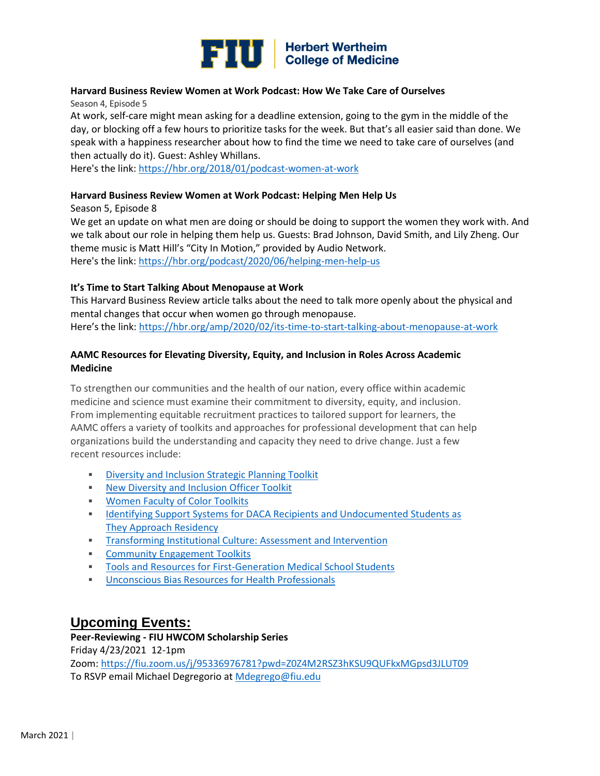

## **Harvard Business Review Women at Work Podcast: How We Take Care of Ourselves**

Season 4, Episode 5

At work, self-care might mean asking for a deadline extension, going to the gym in the middle of the day, or blocking off a few hours to prioritize tasks for the week. But that's all easier said than done. We speak with a happiness researcher about how to find the time we need to take care of ourselves (and then actually do it). Guest: Ashley Whillans.

Here's the link[: https://hbr.org/2018/01/podcast-women-at-work](https://hbr.org/2018/01/podcast-women-at-work)

#### **Harvard Business Review Women at Work Podcast: Helping Men Help Us**

Season 5, Episode 8

We get an update on what men are doing or should be doing to support the women they work with. And we talk about our role in helping them help us. Guests: Brad Johnson, David Smith, and Lily Zheng. Our theme music is Matt Hill's "City In Motion," provided by Audio Network. Here's the link[: https://hbr.org/podcast/2020/06/helping-men-help-us](https://hbr.org/podcast/2020/06/helping-men-help-us)

#### **It's Time to Start Talking About Menopause at Work**

This Harvard Business Review article talks about the need to talk more openly about the physical and mental changes that occur when women go through menopause. Here's the link: <https://hbr.org/amp/2020/02/its-time-to-start-talking-about-menopause-at-work>

### **AAMC Resources for Elevating Diversity, Equity, and Inclusion in Roles Across Academic Medicine**

To strengthen our communities and the health of our nation, every office within academic medicine and science must examine their commitment to diversity, equity, and inclusion. From implementing equitable recruitment practices to tailored support for learners, the AAMC offers a variety of toolkits and approaches for professional development that can help organizations build the understanding and capacity they need to drive change. Just a few recent resources include:

- **EXECUTE:** [Diversity and Inclusion Strategic](https://urldefense.com/v3/__https:/click.email.aamc.org/?qs=412ba9e4c879a953c7b2d422310386451dcf655324bddf2efafcee510a3f3ce9818d6d62a4257b5e37539ac31d4acce5d198618a72f6c808__;!!FjuHKAHQs5udqho!ZZwOYSBlz_UHWglGpbOoaoRQmQMspPAirOijF0ewu10ZlE7r4W07TgY1Ho1ZXw$) Planning Toolkit
- [New Diversity and Inclusion Officer Toolkit](https://urldefense.com/v3/__https:/click.email.aamc.org/?qs=412ba9e4c879a953d96464a0f29c758f09126e59026d0191646940fb307ed26777341f31bc0221d7ffb2fa174b117768b4b5460f00bcba47__;!!FjuHKAHQs5udqho!ZZwOYSBlz_UHWglGpbOoaoRQmQMspPAirOijF0ewu10ZlE7r4W07TgYsm9g_IA$)
- [Women Faculty of Color Toolkits](https://urldefense.com/v3/__https:/click.email.aamc.org/?qs=412ba9e4c879a9532105d02e0f57404f1f8bb3d8b2f84cef36ee4b65f3c3a0819519f0455d9289895231040962e590f1d2f37ad028b79521__;!!FjuHKAHQs5udqho!ZZwOYSBlz_UHWglGpbOoaoRQmQMspPAirOijF0ewu10ZlE7r4W07TgaSK39Vsw$)
- **IDENTIFY IS SUPPORT SYSTEMS FOR DACA Recipients and Undocumented Students as ILL ACT** [They Approach Residency](https://urldefense.com/v3/__https:/click.email.aamc.org/?qs=412ba9e4c879a95354483b593f3b55199de8314f9afe8bd0b3fa39dba5ff23337da9b978fcd0ba58dee1e19f55c3037052d2b1b80a325960__;!!FjuHKAHQs5udqho!ZZwOYSBlz_UHWglGpbOoaoRQmQMspPAirOijF0ewu10ZlE7r4W07Tga6Nb8IWw$)
- **[Transforming Institutional Culture: Assessment and Intervention](https://urldefense.com/v3/__https:/click.email.aamc.org/?qs=412ba9e4c879a9535d14098d23067a057af21a97ea0340b86cb4e2821951adf6c237717ab035c06e14f33c734e145530071456267f9475b0__;!!FjuHKAHQs5udqho!ZZwOYSBlz_UHWglGpbOoaoRQmQMspPAirOijF0ewu10ZlE7r4W07Tga4nb_fHw$)**
- **EXECOMMUNITY Engagement Toolkits**
- [Tools and Resources for First-Generation Medical School Students](https://urldefense.com/v3/__https:/click.email.aamc.org/?qs=412ba9e4c879a953d540822166f008954b85a1ee14f41c5c0a8e5cca74b0e57e87021729f8ab998e95d00204a7bd5ea09503834f71297922__;!!FjuHKAHQs5udqho!ZZwOYSBlz_UHWglGpbOoaoRQmQMspPAirOijF0ewu10ZlE7r4W07Tga0VN4VvQ$)
- **[Unconscious Bias Resources for Health Professionals](https://urldefense.com/v3/__https:/click.email.aamc.org/?qs=412ba9e4c879a953957a14ba6f1fb6d7cc993cc0df1d55e4fd986091fbcc5a502c7b4fd97913b541d95043e5b43c4d404c692d94607ed278__;!!FjuHKAHQs5udqho!ZZwOYSBlz_UHWglGpbOoaoRQmQMspPAirOijF0ewu10ZlE7r4W07TgYERlnxrw$)**

# **Upcoming Events:**

**Peer-Reviewing - FIU HWCOM Scholarship Series** Friday 4/23/2021 12-1pm Zoom:<https://fiu.zoom.us/j/95336976781?pwd=Z0Z4M2RSZ3hKSU9QUFkxMGpsd3JLUT09> To RSVP email Michael Degregorio at [Mdegrego@fiu.edu](mailto:Mdegrego@fiu.edu)